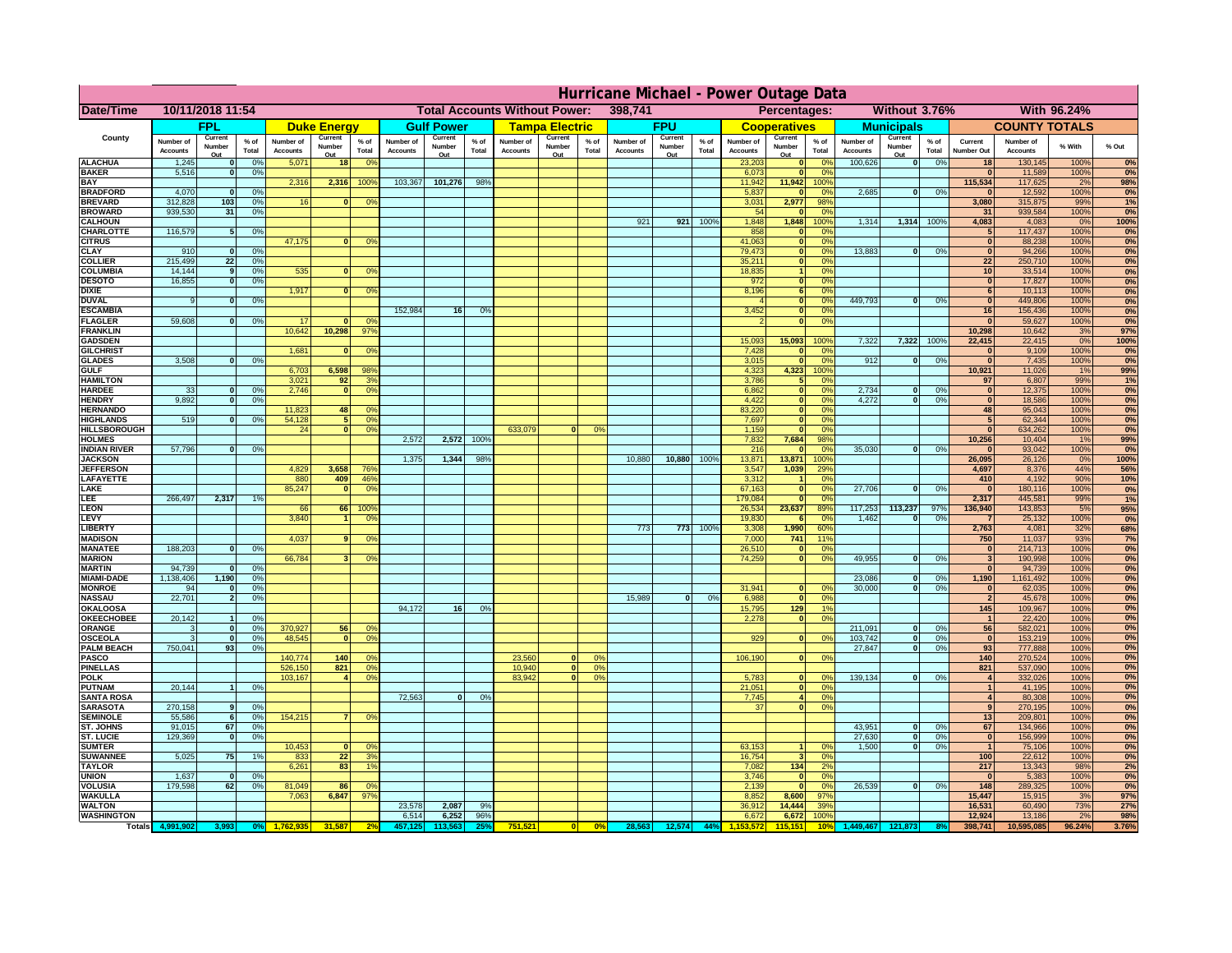|                                         | Hurricane Michael - Power Outage Data |                   |                                  |                              |                     |                                              |                              |                   |                 |                                      |                               |                 |                       |                   |                 |                              |                                |                                  |                              |                   |                 |                              |                              |              |              |
|-----------------------------------------|---------------------------------------|-------------------|----------------------------------|------------------------------|---------------------|----------------------------------------------|------------------------------|-------------------|-----------------|--------------------------------------|-------------------------------|-----------------|-----------------------|-------------------|-----------------|------------------------------|--------------------------------|----------------------------------|------------------------------|-------------------|-----------------|------------------------------|------------------------------|--------------|--------------|
| Date/Time                               | 10/11/2018 11:54                      |                   |                                  |                              |                     |                                              |                              |                   |                 | <b>Total Accounts Without Power:</b> |                               |                 | 398,741               |                   |                 |                              | Percentages:                   |                                  |                              | Without 3.76%     |                 |                              |                              | With 96.24%  |              |
|                                         |                                       | <b>FPL</b>        |                                  |                              | <b>Duke Energy</b>  |                                              |                              | <b>Gulf Power</b> |                 |                                      | <b>Tampa Electric</b>         |                 |                       | <b>FPU</b>        |                 |                              | <b>Cooperatives</b>            |                                  |                              | <b>Municipals</b> |                 |                              | <b>COUNTY TOTALS</b>         |              |              |
| County                                  | Number of<br><b>Accounts</b>          | Current<br>Number | % of<br>Total                    | Number of<br><b>Accounts</b> | Current<br>Number   | $%$ of<br>Total                              | Number of<br><b>Accounts</b> | Current<br>Number | $%$ of<br>Total | Number of<br><b>Accounts</b>         | Current<br>Number             | $%$ of<br>Total | Number of<br>Accounts | Current<br>Number | $%$ of<br>Total | Number of<br><b>Accounts</b> | Current<br>Number              | $%$ of<br>Total                  | Number of<br><b>Accounts</b> | Current<br>Number | $%$ of<br>Total | Current<br><b>Number Out</b> | Number of<br><b>Accounts</b> | % With       | % Out        |
| <b>ALACHUA</b>                          | 1,245                                 | Out               | 0 <sup>9</sup>                   | 5,071                        | Out<br>18           | 0 <sup>9</sup>                               |                              | Out               |                 |                                      | Out                           |                 |                       | Out               |                 | 23,203                       | Out<br>$\mathbf{0}$            | 0 <sup>9</sup>                   | 100,626                      | Out<br> 0         | 0%              | 18                           | 130,145                      | 100%         | 0%           |
| <b>BAKER</b>                            | 5,516                                 |                   | 0%                               |                              |                     |                                              |                              |                   |                 |                                      |                               |                 |                       |                   |                 | 6,073                        | ō                              | 0%                               |                              |                   |                 | $\mathbf{0}$                 | 11,589                       | 100%         | 0%           |
| <b>BAY</b><br><b>BRADFORD</b>           | 4,070                                 |                   | 0 <sup>9</sup>                   | 2,316                        | 2,316               | 100%                                         | 103,367                      | 101,276           | 98%             |                                      |                               |                 |                       |                   |                 | 11,942<br>5,837              | 11,942<br>$\mathbf{0}$         | 100%<br>0 <sup>9</sup>           | 2,685                        | 0                 | 0%              | 115,534                      | 117,625<br>12,592            | 2%<br>100%   | 98%<br>0%    |
| <b>BREVARD</b>                          | 312,828                               | 103               | 0 <sup>9</sup>                   | 16                           |                     | $\mathbf{0}$<br>0 <sup>o</sup>               |                              |                   |                 |                                      |                               |                 |                       |                   |                 | 3,031                        | 2,977                          | 98%                              |                              |                   |                 | 3,080                        | 315,875                      | 99%          | 1%           |
| <b>BROWARD</b>                          | 939.530                               | 31                | 0 <sup>9</sup>                   |                              |                     |                                              |                              |                   |                 |                                      |                               |                 |                       |                   |                 | 54                           | $\mathbf{0}$                   | 0%                               |                              |                   |                 | 31                           | 939,584                      | 100%         | 0%           |
| <b>CALHOUN</b>                          |                                       |                   |                                  |                              |                     |                                              |                              |                   |                 |                                      |                               |                 | 921                   | 921               | 100%            | 1,848                        | 1,848                          | 100%                             | 1,314                        | 1,314 100%        |                 | 4,083                        | 4,083                        | 0%<br>100%   | 100%         |
| CHARLOTTE<br><b>CITRUS</b>              | 116,579                               |                   | 0 <sup>9</sup>                   | 47,175                       | $\mathbf{0}$        | 0 <sup>9</sup>                               |                              |                   |                 |                                      |                               |                 |                       |                   |                 | 858<br>41,063                | $\mathbf 0$<br>$\mathbf{0}$    | 0 <sup>o</sup><br>0 <sup>9</sup> |                              |                   |                 | 5<br>$\mathbf{0}$            | 117,437<br>88,238            | 100%         | 0%<br>0%     |
| <b>CLAY</b>                             | 910                                   |                   | 0 <sup>9</sup>                   |                              |                     |                                              |                              |                   |                 |                                      |                               |                 |                       |                   |                 | 79,473                       | $\bullet$                      | 0 <sup>9</sup>                   | 13,883                       | $\mathbf{0}$      | 0%              | $\bf{0}$                     | 94,266                       | 100%         | 0%           |
| <b>COLLIER</b>                          | 215,499                               | 22                | 0 <sup>9</sup>                   |                              |                     |                                              |                              |                   |                 |                                      |                               |                 |                       |                   |                 | 35,211                       | $\mathbf{0}$                   | 0%                               |                              |                   |                 | 22                           | 250,710                      | 100%         | 0%           |
| <b>COLUMBIA</b><br><b>DESOTO</b>        | 14,144<br>16,855                      | $\mathbf{q}$      | 0 <sup>9</sup><br>0%             | 535                          | $\bf{0}$            | 0 <sup>9</sup>                               |                              |                   |                 |                                      |                               |                 |                       |                   |                 | 18,835<br>972                | $\overline{1}$<br>ō            | 0%<br>0%                         |                              |                   |                 | 10<br>$\mathbf{0}$           | 33,514<br>17,827             | 100%<br>100% | 0%<br>0%     |
| <b>DIXIE</b>                            |                                       |                   |                                  | 1,917                        | $\bf{0}$            | 0°                                           |                              |                   |                 |                                      |                               |                 |                       |                   |                 | 8,196                        | 6                              | nº                               |                              |                   |                 | 6                            | 10,113                       | 100%         | 0%           |
| <b>DUVAL</b>                            |                                       |                   | 0%                               |                              |                     |                                              |                              |                   |                 |                                      |                               |                 |                       |                   |                 |                              | $\mathbf{0}$                   | 0%                               | 449.793                      | ol                | 0%              | $\Omega$                     | 449,806                      | 100%         | 0%           |
| <b>ESCAMBIA</b>                         |                                       |                   |                                  |                              |                     |                                              | 152,984                      | 16                | 0 <sup>9</sup>  |                                      |                               |                 |                       |                   |                 | 3,452                        | $\mathbf{0}$                   | 0%                               |                              |                   |                 | 16                           | 156,436                      | 100%         | 0%           |
| <b>FLAGLER</b><br><b>FRANKLIN</b>       | 59,608                                |                   | 0%                               | 17<br>10,642                 | n<br>10,298         | 0 <sup>9</sup><br>97%                        |                              |                   |                 |                                      |                               |                 |                       |                   |                 |                              | $\bullet$                      | 0%                               |                              |                   |                 | $\Omega$<br>10,298           | 59,627<br>10,642             | 100%<br>3%   | 0%<br>97%    |
| <b>GADSDEN</b>                          |                                       |                   |                                  |                              |                     |                                              |                              |                   |                 |                                      |                               |                 |                       |                   |                 | 15,093                       | 15,093                         | 100%                             | 7,322                        | 7,322             | 100%            | 22,415                       | 22,415                       | 0%           | 100%         |
| <b>GILCHRIST</b>                        |                                       |                   |                                  | 1,681                        | $\bf{0}$            | 0 <sup>9</sup>                               |                              |                   |                 |                                      |                               |                 |                       |                   |                 | 7,428                        | $\mathbf{0}$                   | 0%                               |                              |                   |                 | 0                            | 9,109                        | 100%         | 0%           |
| <b>GLADES</b>                           | 3,508                                 |                   | 0 <sup>9</sup>                   |                              |                     |                                              |                              |                   |                 |                                      |                               |                 |                       |                   |                 | 3,015                        | $\bullet$                      | 0%                               | 912                          | $\mathbf{0}$      | 0%              | 0                            | 7,435                        | 100%         | 0%           |
| <b>GULF</b><br><b>HAMILTON</b>          |                                       |                   |                                  | 6,703<br>3,021               | 6,598<br>92         | 98%<br>3 <sup>9</sup>                        |                              |                   |                 |                                      |                               |                 |                       |                   |                 | 4,323<br>3,786               | 4,323<br>$5\phantom{.0}$       | 100%<br>0%                       |                              |                   |                 | 10,921<br>97                 | 11,026<br>6,807              | 1%<br>99%    | 99%<br>1%    |
| <b>HARDEE</b>                           | 33                                    |                   | 0%                               | 2.746                        |                     | $\mathbf{0}$<br>0 <sup>9</sup>               |                              |                   |                 |                                      |                               |                 |                       |                   |                 | 6.862                        | 0                              | 0%                               | 2.734                        | $\bf{0}$          | 0%              | 0                            | 12,375                       | 100%         | 0%           |
| <b>HENDRY</b>                           | 9.892                                 |                   | 0%                               |                              |                     |                                              |                              |                   |                 |                                      |                               |                 |                       |                   |                 | 4.422                        | 0                              | 0%                               | 4.272                        | $\mathbf{0}$      | 0%              | 0                            | 18.586                       | 100%         | 0%           |
| <b>HERNANDO</b>                         |                                       |                   |                                  | 11,823                       | 48                  | 0 <sup>o</sup>                               |                              |                   |                 |                                      |                               |                 |                       |                   |                 | 83,220                       | 0                              | 0%                               |                              |                   |                 | 48                           | 95,043                       | 100%         | 0%           |
| <b>HIGHLANDS</b><br><b>HILLSBOROUGH</b> | 519                                   |                   | 0 <sup>9</sup>                   | 54,128<br>24                 |                     | 5 <sub>1</sub><br>0%<br>$\overline{0}$<br>0% |                              |                   |                 | 633,079                              |                               | 0 <sup>9</sup>  |                       |                   |                 | 7,697<br>1,159               | $\overline{0}$<br>$\mathbf{0}$ | 0%<br>0%                         |                              |                   |                 | 5 <sub>l</sub><br> 0         | 62,344<br>634,262            | 100%<br>100% | 0%<br>0%     |
| <b>HOLMES</b>                           |                                       |                   |                                  |                              |                     |                                              | 2,572                        | 2,572             | 100%            |                                      |                               |                 |                       |                   |                 | 7,832                        | 7,684                          | 98%                              |                              |                   |                 | 10,256                       | 10,404                       | 1%           | 99%          |
| <b>INDIAN RIVER</b>                     | 57,796                                |                   | 0%                               |                              |                     |                                              |                              |                   |                 |                                      |                               |                 |                       |                   |                 | 216                          | $\mathbf{0}$                   | 0 <sup>9</sup>                   | 35,030                       | $\mathbf{0}$      | 0%              | $\bf{0}$                     | 93,042                       | 100%         | 0%           |
| <b>JACKSON</b>                          |                                       |                   |                                  |                              |                     |                                              | 1,375                        | 1,344             | 98%             |                                      |                               |                 | 10,880                | 10,880            | 100%            | 13,871                       | 13,871                         | 100%                             |                              |                   |                 | 26,095                       | 26,126                       | 0%           | 100%         |
| <b>JEFFERSOI</b><br>LAFAYETTE           |                                       |                   |                                  | 4,829<br>880                 | 3,658<br>409        | 76%<br>46%                                   |                              |                   |                 |                                      |                               |                 |                       |                   |                 | 3,547<br>3,312               | 1,039<br>$\blacktriangleleft$  | 29%<br>0%                        |                              |                   |                 | 4,697<br>410                 | 8,376<br>4,192               | 44%<br>90%   | 56%<br>10%   |
| LAKE                                    |                                       |                   |                                  | 85,247                       | $\Omega$            | 0 <sup>9</sup>                               |                              |                   |                 |                                      |                               |                 |                       |                   |                 | 67,163                       | $\mathbf{0}$                   | 0%                               | 27,706                       | $\Omega$          | 0%              | $\Omega$                     | 180,116                      | 100%         | 0%           |
| LEE                                     | 266,497                               | 2,317             | 1%                               |                              |                     |                                              |                              |                   |                 |                                      |                               |                 |                       |                   |                 | 179,084                      | $\mathbf{0}$                   | 0%                               |                              |                   |                 | 2,317                        | 445,581                      | 99%          | 1%           |
| <b>LEON</b>                             |                                       |                   |                                  | 66                           |                     | 66 100                                       |                              |                   |                 |                                      |                               |                 |                       |                   |                 | 26,534                       | 23,637                         | 89%                              | 117,253                      | 113,237           | 97%             | 136,940                      | 143,853                      | 5%           | 95%          |
| <b>LEVY</b><br><b>LIBERTY</b>           |                                       |                   |                                  | 3,840                        |                     | 0 <sup>9</sup><br>11                         |                              |                   |                 |                                      |                               |                 | 773                   | 773               | 100%            | 19,830<br>3,308              | 6<br>1,990                     | 0%<br>60%                        | 1,462                        | $\mathbf{0}$      | 0%              | $\overline{7}$<br>2,763      | 25,132<br>4,081              | 100%<br>32%  | 0%<br>68%    |
| <b>MADISON</b>                          |                                       |                   |                                  | 4,037                        |                     | 0 <sup>9</sup>                               |                              |                   |                 |                                      |                               |                 |                       |                   |                 | 7,000                        | 741                            | 11%                              |                              |                   |                 | 750                          | 11,037                       | 93%          | 7%           |
| <b>MANATEE</b>                          | 188,203                               | $\Omega$          | 0%                               |                              |                     |                                              |                              |                   |                 |                                      |                               |                 |                       |                   |                 | 26,510                       | $\mathbf{0}$                   | 0%                               |                              |                   |                 | 0                            | 214,713                      | 100%         | 0%           |
| <b>MARION</b>                           |                                       |                   |                                  | 66,784                       |                     | 0°                                           |                              |                   |                 |                                      |                               |                 |                       |                   |                 | 74,259                       | 0                              | 0%                               | 49,955                       | $\Omega$          | 0%              | 3                            | 190,998                      | 100%         | 0%           |
| <b>MARTIN</b><br><b>MIAMI-DADE</b>      | 94,739<br>1,138,406                   | 1,190             | 0%<br>0%                         |                              |                     |                                              |                              |                   |                 |                                      |                               |                 |                       |                   |                 |                              |                                |                                  | 23,086                       | $\Omega$          | 0%              | $\Omega$<br>1,190            | 94,739<br>1,161,492          | 100%<br>100% | 0%<br>0%     |
| <b>MONROE</b>                           | 94                                    | $\mathbf{0}$      | 0%                               |                              |                     |                                              |                              |                   |                 |                                      |                               |                 |                       |                   |                 | 31,941                       | 0                              | 0 <sup>9</sup>                   | 30,000                       | $\mathbf{0}$      | 0%              | $\mathbf{0}$                 | 62,035                       | 100%         | 0%           |
| <b>NASSAU</b>                           | 22,701                                | $\overline{2}$    | 0%                               |                              |                     |                                              |                              |                   |                 |                                      |                               |                 | 15,989                | 0                 | 0%              | 6,988                        | 0                              | 0%                               |                              |                   |                 | $\mathbf{2}$                 | 45,678                       | 100%         | 0%           |
| <b>OKALOOSA</b>                         |                                       |                   |                                  |                              |                     |                                              | 94,172                       | 16                | 0%              |                                      |                               |                 |                       |                   |                 | 15,795                       | 129                            | 1%                               |                              |                   |                 | 145                          | 109,967                      | 100%         | 0%           |
| <b>OKEECHOBEE</b><br>ORANGE             | 20,142                                | $\mathbf{0}$      | 0 <sup>9</sup><br>0 <sup>9</sup> | 370,927                      | 56                  | 0 <sup>9</sup>                               |                              |                   |                 |                                      |                               |                 |                       |                   |                 | 2,278                        | 0                              | 0%                               | 211,091                      | $\mathbf{0}$      | 0%              | $\vert$ 1<br>56              | 22,420<br>582,021            | 100%<br>100% | 0%<br>0%     |
| <b>OSCEOLA</b>                          |                                       | $\mathbf{0}$      | 0 <sup>9</sup>                   | 48,545                       | $\Omega$            | 0 <sup>9</sup>                               |                              |                   |                 |                                      |                               |                 |                       |                   |                 | 929                          | 0                              | 0 <sup>9</sup>                   | 103,742                      | 0                 | 0%              | - 0 I                        | 153,219                      | 100%         | 0%           |
| <b>PALM BEACH</b>                       | 750,041                               | 93                | 0 <sup>9</sup>                   |                              |                     |                                              |                              |                   |                 |                                      |                               |                 |                       |                   |                 |                              |                                |                                  | 27,847                       | $\overline{0}$    | 0%              | 93                           | 777,888                      | 100%         | 0%           |
| PASCO                                   |                                       |                   |                                  | 140,774                      | 140                 | 0 <sup>9</sup>                               |                              |                   |                 | 23,560                               | $\Omega$                      | 0%              |                       |                   |                 | 106,190                      | 0                              | 0%                               |                              |                   |                 | 140                          | 270,524                      | 100%         | 0%           |
| <b>PINELLAS</b><br><b>POLK</b>          |                                       |                   |                                  | 526,150<br>103,167           | 821<br>$\mathbf{A}$ | 0 <sup>9</sup><br>0 <sup>9</sup>             |                              |                   |                 | 10,940<br>83,942                     | $\overline{\mathbf{0}}$<br> 0 | 0%<br>0%        |                       |                   |                 | 5,783                        | 0                              | nº                               | 139,134                      | 0                 | 0%              | 821<br>$\vert$               | 537,090<br>332,026           | 100%<br>100% | 0%<br>0%     |
| <b>PUTNAM</b>                           | 20,144                                |                   | 0%                               |                              |                     |                                              |                              |                   |                 |                                      |                               |                 |                       |                   |                 | 21,051                       | 0                              | 0 <sup>9</sup>                   |                              |                   |                 | $\mathbf{1}$                 | 41,195                       | 100%         | 0%           |
| <b>SANTA ROSA</b>                       |                                       |                   |                                  |                              |                     |                                              | 72,563                       | 0                 | 0%              |                                      |                               |                 |                       |                   |                 | 7,745                        | $\vert$                        | 0%                               |                              |                   |                 | $\overline{\mathbf{4}}$      | 80,308                       | 100%         | 0%           |
| <b>SARASOTA</b>                         | 270,158                               | 9<br>6            | 0%                               |                              |                     | 0 <sup>9</sup><br>$\overline{7}$             |                              |                   |                 |                                      |                               |                 |                       |                   |                 | 37                           | 0                              | 0%                               |                              |                   |                 | 9 <sup>1</sup>               | 270,195                      | 100%         | 0%<br>0%     |
| <b>SEMINOLE</b><br>ST. JOHNS            | 55,586<br>91.015                      | 67                | 0 <sup>9</sup><br>0 <sup>9</sup> | 154,215                      |                     |                                              |                              |                   |                 |                                      |                               |                 |                       |                   |                 |                              |                                |                                  | 43,951                       | -ol               | 0%              | 13<br>67                     | 209,801<br>134,966           | 100%<br>100% | 0%           |
| ST. LUCIE                               | 129.369                               | $\Omega$          | 0%                               |                              |                     |                                              |                              |                   |                 |                                      |                               |                 |                       |                   |                 |                              |                                |                                  | 27.630                       | - O I             | 0%              | 0                            | 156.999                      | 100%         | 0%           |
| <b>SUMTER</b>                           |                                       |                   |                                  | 10,453                       | $\mathbf{0}$        | $\Omega$                                     |                              |                   |                 |                                      |                               |                 |                       |                   |                 | 63,153                       |                                | 0%                               | 1.500                        | 0                 | 0%              | 1                            | 75,106                       | 100%         | 0%           |
| <b>SUWANNEE</b>                         | 5,025                                 | 75                | 1%                               | 833                          | 22                  | 3 <sup>9</sup>                               |                              |                   |                 |                                      |                               |                 |                       |                   |                 | 16,754                       | $\mathbf{3}$                   | 0%                               |                              |                   |                 | 100                          | 22,612                       | 100%         | 0%           |
| <b>TAYLOR</b><br><b>UNION</b>           | 1,637                                 | $\mathbf{0}$      | 0 <sup>9</sup>                   | 6,261                        | 83                  | 1%                                           |                              |                   |                 |                                      |                               |                 |                       |                   |                 | 7,082<br>3,746               | 134<br>$\mathbf{0}$            | 2%<br>0%                         |                              |                   |                 | 217<br>$\mathbf{0}$          | 13,343<br>5,383              | 98%<br>100%  | 2%<br>0%     |
| VOLUSIA                                 | 179,598                               | 62                | 0%                               | 81,049                       | 86                  | 0 <sup>6</sup>                               |                              |                   |                 |                                      |                               |                 |                       |                   |                 | 2,139                        | $\mathbf 0$                    | 0 <sup>9</sup>                   | 26,539                       | 0                 | 0%              | 148                          | 289,325                      | 100%         | 0%           |
| <b>WAKULLA</b>                          |                                       |                   |                                  | 7,063                        | 6,847               | 97%                                          |                              |                   |                 |                                      |                               |                 |                       |                   |                 | 8,852                        | 8,600                          | 97%                              |                              |                   |                 | 15,447                       | 15,915                       | 3%           | 97%          |
| <b>WALTON</b>                           |                                       |                   |                                  |                              |                     |                                              | 23,578                       | 2,087             | 9%              |                                      |                               |                 |                       |                   |                 | 36,912                       | 14,444                         | 39%                              |                              |                   |                 | 16,531                       | 60,490                       | 73%          | 27%          |
| <b>WASHINGTON</b>                       | Totals 4,991,902                      | 3,993             | 0 <sup>o</sup>                   |                              |                     |                                              | 6,514                        | 6,252             | 96%             | 751,521                              |                               | 0%              | 28,563                | 12,574            | 44%             | 6,672                        | 6,672                          | 100%<br>10                       | ,449,467                     |                   |                 | 12,924<br>398,741            | 13,186<br>10,595,085         | 2%<br>96.24% | 98%<br>3.76% |
|                                         |                                       |                   |                                  |                              |                     |                                              |                              |                   |                 |                                      |                               |                 |                       |                   |                 |                              |                                |                                  |                              |                   |                 |                              |                              |              |              |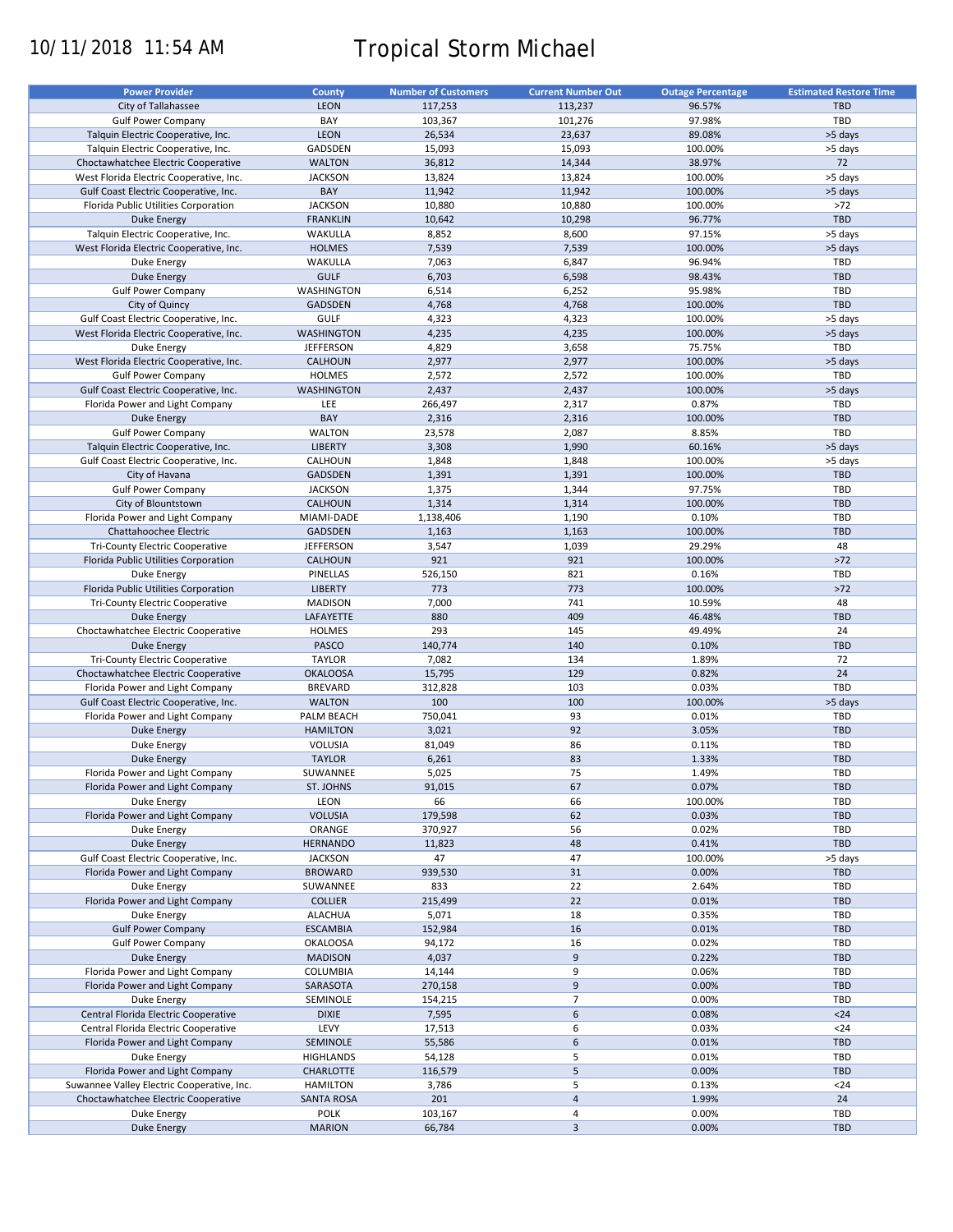# 10/11/2018 11:54 AM Tropical Storm Michael

| <b>Power Provider</b>                      | <b>County</b>     | <b>Number of Customers</b> | <b>Current Number Out</b> | <b>Outage Percentage</b> | <b>Estimated Restore Time</b> |
|--------------------------------------------|-------------------|----------------------------|---------------------------|--------------------------|-------------------------------|
| City of Tallahassee                        | <b>LEON</b>       | 117,253                    | 113,237                   | 96.57%                   | <b>TBD</b>                    |
| <b>Gulf Power Company</b>                  | BAY               | 103,367                    | 101,276                   | 97.98%                   | TBD                           |
| Talquin Electric Cooperative, Inc.         | <b>LEON</b>       |                            |                           |                          |                               |
|                                            |                   | 26,534                     | 23,637                    | 89.08%                   | >5 days                       |
| Talquin Electric Cooperative, Inc.         | GADSDEN           | 15,093                     | 15,093                    | 100.00%                  | >5 days                       |
| Choctawhatchee Electric Cooperative        | <b>WALTON</b>     | 36,812                     | 14,344                    | 38.97%                   | 72                            |
| West Florida Electric Cooperative, Inc.    | <b>JACKSON</b>    | 13,824                     | 13,824                    | 100.00%                  | >5 days                       |
| Gulf Coast Electric Cooperative, Inc.      | BAY               | 11,942                     | 11,942                    | 100.00%                  | >5 days                       |
| Florida Public Utilities Corporation       | <b>JACKSON</b>    | 10,880                     | 10,880                    | 100.00%                  | >72                           |
| Duke Energy                                | <b>FRANKLIN</b>   | 10,642                     | 10,298                    | 96.77%                   | TBD                           |
| Talquin Electric Cooperative, Inc.         | WAKULLA           | 8,852                      | 8,600                     | 97.15%                   | >5 days                       |
| West Florida Electric Cooperative, Inc.    | <b>HOLMES</b>     | 7,539                      | 7,539                     | 100.00%                  | >5 days                       |
| Duke Energy                                | WAKULLA           | 7,063                      | 6,847                     | 96.94%                   | TBD                           |
|                                            | <b>GULF</b>       | 6,703                      |                           | 98.43%                   | <b>TBD</b>                    |
| Duke Energy                                |                   |                            | 6,598                     |                          |                               |
| <b>Gulf Power Company</b>                  | WASHINGTON        | 6,514                      | 6,252                     | 95.98%                   | TBD                           |
| City of Quincy                             | <b>GADSDEN</b>    | 4,768                      | 4,768                     | 100.00%                  | <b>TBD</b>                    |
| Gulf Coast Electric Cooperative, Inc.      | <b>GULF</b>       | 4,323                      | 4,323                     | 100.00%                  | >5 days                       |
| West Florida Electric Cooperative, Inc.    | <b>WASHINGTON</b> | 4,235                      | 4,235                     | 100.00%                  | >5 days                       |
| Duke Energy                                | <b>JEFFERSON</b>  | 4,829                      | 3,658                     | 75.75%                   | TBD                           |
| West Florida Electric Cooperative, Inc.    | CALHOUN           | 2,977                      | 2,977                     | 100.00%                  | >5 days                       |
| <b>Gulf Power Company</b>                  | <b>HOLMES</b>     | 2,572                      | 2,572                     | 100.00%                  | TBD                           |
| Gulf Coast Electric Cooperative, Inc.      | <b>WASHINGTON</b> | 2,437                      | 2,437                     | 100.00%                  | >5 days                       |
| Florida Power and Light Company            | LEE               | 266,497                    | 2,317                     | 0.87%                    | TBD                           |
|                                            | BAY               |                            |                           |                          | <b>TBD</b>                    |
| <b>Duke Energy</b>                         |                   | 2,316                      | 2,316                     | 100.00%                  |                               |
| <b>Gulf Power Company</b>                  | <b>WALTON</b>     | 23,578                     | 2,087                     | 8.85%                    | TBD                           |
| Talquin Electric Cooperative, Inc.         | <b>LIBERTY</b>    | 3,308                      | 1,990                     | 60.16%                   | >5 days                       |
| Gulf Coast Electric Cooperative, Inc.      | CALHOUN           | 1,848                      | 1,848                     | 100.00%                  | >5 days                       |
| City of Havana                             | <b>GADSDEN</b>    | 1,391                      | 1,391                     | 100.00%                  | <b>TBD</b>                    |
| <b>Gulf Power Company</b>                  | <b>JACKSON</b>    | 1,375                      | 1,344                     | 97.75%                   | <b>TBD</b>                    |
| City of Blountstown                        | CALHOUN           | 1,314                      | 1,314                     | 100.00%                  | <b>TBD</b>                    |
| Florida Power and Light Company            | MIAMI-DADE        | 1,138,406                  | 1,190                     | 0.10%                    | TBD                           |
| Chattahoochee Electric                     | <b>GADSDEN</b>    | 1,163                      | 1,163                     | 100.00%                  | <b>TBD</b>                    |
| Tri-County Electric Cooperative            | <b>JEFFERSON</b>  | 3,547                      | 1,039                     | 29.29%                   | 48                            |
|                                            |                   |                            |                           |                          |                               |
| Florida Public Utilities Corporation       | CALHOUN           | 921                        | 921                       | 100.00%                  | $>72$                         |
| <b>Duke Energy</b>                         | PINELLAS          | 526,150                    | 821                       | 0.16%                    | TBD                           |
| Florida Public Utilities Corporation       | <b>LIBERTY</b>    | 773                        | 773                       | 100.00%                  | $>72$                         |
| Tri-County Electric Cooperative            | <b>MADISON</b>    | 7,000                      | 741                       | 10.59%                   | 48                            |
| <b>Duke Energy</b>                         | LAFAYETTE         | 880                        | 409                       | 46.48%                   | <b>TBD</b>                    |
| Choctawhatchee Electric Cooperative        | <b>HOLMES</b>     | 293                        | 145                       | 49.49%                   | 24                            |
| <b>Duke Energy</b>                         | PASCO             | 140,774                    | 140                       | 0.10%                    | <b>TBD</b>                    |
| Tri-County Electric Cooperative            | <b>TAYLOR</b>     | 7,082                      | 134                       | 1.89%                    | 72                            |
| Choctawhatchee Electric Cooperative        | <b>OKALOOSA</b>   | 15,795                     | 129                       | 0.82%                    | 24                            |
| Florida Power and Light Company            | <b>BREVARD</b>    | 312,828                    | 103                       | 0.03%                    | TBD                           |
| Gulf Coast Electric Cooperative, Inc.      | <b>WALTON</b>     | 100                        | 100                       | 100.00%                  | >5 days                       |
|                                            |                   |                            |                           |                          |                               |
| Florida Power and Light Company            | PALM BEACH        | 750,041                    | 93                        | 0.01%                    | TBD                           |
| <b>Duke Energy</b>                         | <b>HAMILTON</b>   | 3,021                      | 92                        | 3.05%                    | <b>TBD</b>                    |
| Duke Energy                                | VOLUSIA           | 81,049                     | 86                        | 0.11%                    | TBD                           |
| <b>Duke Energy</b>                         | <b>TAYLOR</b>     | 6,261                      | 83                        | 1.33%                    | <b>TBD</b>                    |
| Florida Power and Light Company            | SUWANNEE          | 5,025                      | 75                        | 1.49%                    | TBD                           |
| Florida Power and Light Company            | ST. JOHNS         | 91,015                     | 67                        | 0.07%                    | <b>TBD</b>                    |
| Duke Energy                                | LEON              | 66                         | 66                        | 100.00%                  | TBD                           |
| Florida Power and Light Company            | <b>VOLUSIA</b>    | 179,598                    | 62                        | 0.03%                    | <b>TBD</b>                    |
| Duke Energy                                | ORANGE            | 370,927                    | 56                        | 0.02%                    | TBD                           |
| Duke Energy                                | <b>HERNANDO</b>   | 11,823                     | 48                        | 0.41%                    | <b>TBD</b>                    |
|                                            |                   | 47                         | 47                        |                          |                               |
| Gulf Coast Electric Cooperative, Inc.      | <b>JACKSON</b>    |                            |                           | 100.00%                  | >5 days                       |
| Florida Power and Light Company            | <b>BROWARD</b>    | 939,530                    | 31                        | 0.00%                    | TBD                           |
| Duke Energy                                | SUWANNEE          | 833                        | 22                        | 2.64%                    | TBD                           |
| Florida Power and Light Company            | <b>COLLIER</b>    | 215,499                    | 22                        | 0.01%                    | <b>TBD</b>                    |
| Duke Energy                                | <b>ALACHUA</b>    | 5,071                      | 18                        | 0.35%                    | TBD                           |
| <b>Gulf Power Company</b>                  | <b>ESCAMBIA</b>   | 152,984                    | 16                        | 0.01%                    | <b>TBD</b>                    |
| <b>Gulf Power Company</b>                  | <b>OKALOOSA</b>   | 94,172                     | 16                        | 0.02%                    | TBD                           |
| <b>Duke Energy</b>                         | <b>MADISON</b>    | 4,037                      | 9                         | 0.22%                    | <b>TBD</b>                    |
| Florida Power and Light Company            | COLUMBIA          | 14,144                     | 9                         | 0.06%                    | TBD                           |
| Florida Power and Light Company            | SARASOTA          | 270,158                    | 9                         | 0.00%                    | <b>TBD</b>                    |
|                                            |                   |                            |                           |                          |                               |
| Duke Energy                                | SEMINOLE          | 154,215                    | 7                         | 0.00%                    | TBD                           |
| Central Florida Electric Cooperative       | <b>DIXIE</b>      | 7,595                      | 6                         | 0.08%                    | $24$                          |
| Central Florida Electric Cooperative       | LEVY              | 17,513                     | 6                         | 0.03%                    | $24$                          |
| Florida Power and Light Company            | SEMINOLE          | 55,586                     | 6                         | 0.01%                    | <b>TBD</b>                    |
| Duke Energy                                | <b>HIGHLANDS</b>  | 54,128                     | 5                         | 0.01%                    | TBD                           |
| Florida Power and Light Company            | CHARLOTTE         | 116,579                    | 5                         | 0.00%                    | TBD                           |
| Suwannee Valley Electric Cooperative, Inc. | <b>HAMILTON</b>   | 3,786                      | 5                         | 0.13%                    | $24$                          |
| Choctawhatchee Electric Cooperative        | <b>SANTA ROSA</b> | 201                        | $\overline{\mathbf{4}}$   | 1.99%                    | 24                            |
| Duke Energy                                | <b>POLK</b>       | 103,167                    | 4                         | 0.00%                    | <b>TBD</b>                    |
| Duke Energy                                | <b>MARION</b>     | 66,784                     | $\overline{\mathbf{3}}$   | 0.00%                    | TBD                           |
|                                            |                   |                            |                           |                          |                               |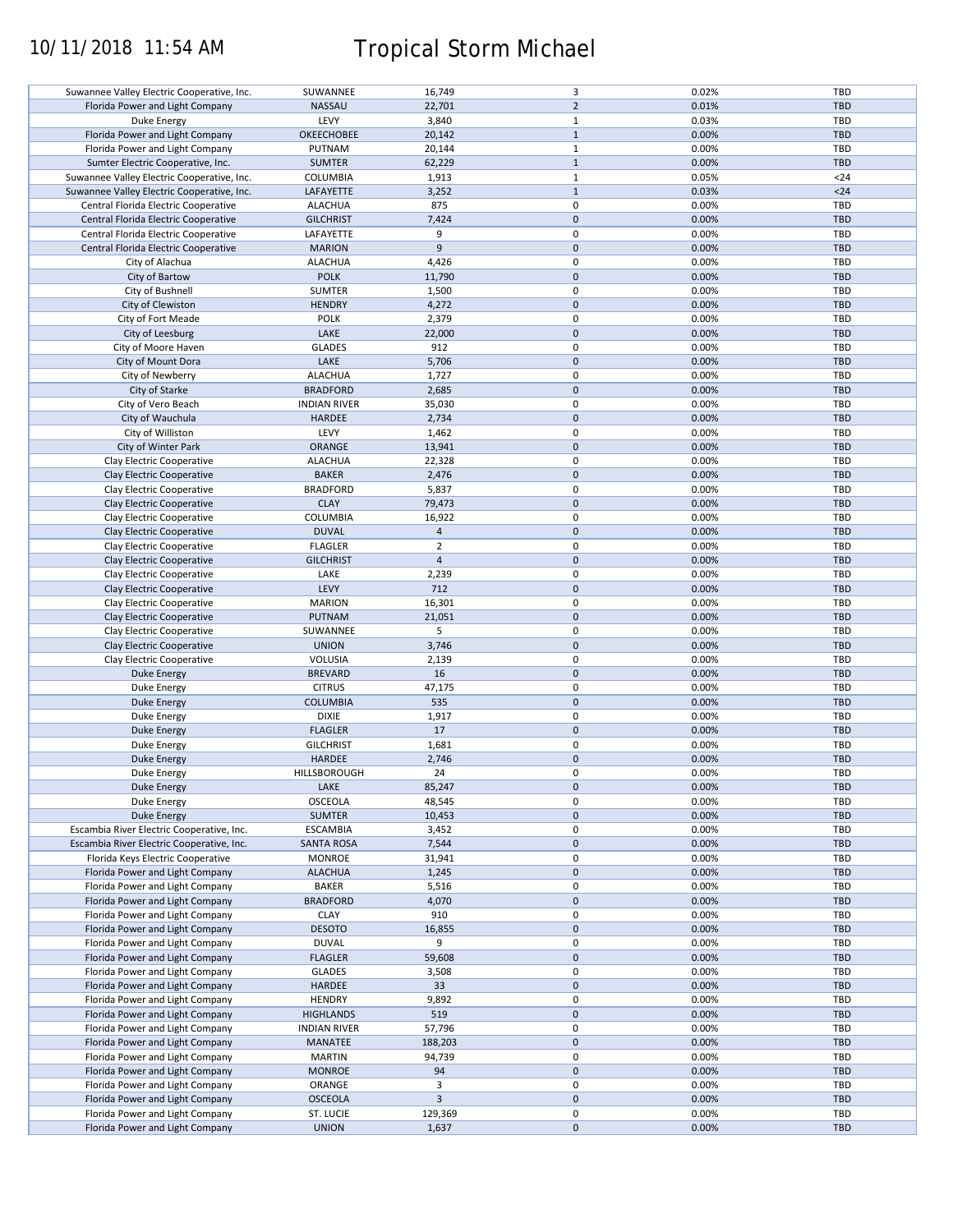# 10/11/2018 11:54 AM Tropical Storm Michael

| Suwannee Valley Electric Cooperative, Inc. | SUWANNEE            | 16,749                  | 3              | 0.02% | <b>TBD</b> |
|--------------------------------------------|---------------------|-------------------------|----------------|-------|------------|
| Florida Power and Light Company            | <b>NASSAU</b>       | 22,701                  | $\overline{2}$ | 0.01% | <b>TBD</b> |
|                                            |                     |                         |                |       |            |
| Duke Energy                                | LEVY                | 3,840                   | $\mathbf{1}$   | 0.03% | TBD        |
| Florida Power and Light Company            | OKEECHOBEE          | 20,142                  | $\mathbf{1}$   | 0.00% | <b>TBD</b> |
|                                            |                     |                         |                |       |            |
| Florida Power and Light Company            | PUTNAM              | 20,144                  | $\mathbf{1}$   | 0.00% | TBD        |
| Sumter Electric Cooperative, Inc.          | <b>SUMTER</b>       | 62,229                  | $\mathbf{1}$   | 0.00% | <b>TBD</b> |
|                                            |                     |                         |                |       |            |
| Suwannee Valley Electric Cooperative, Inc. | COLUMBIA            | 1,913                   | $1\,$          | 0.05% | $24$       |
| Suwannee Valley Electric Cooperative, Inc. | LAFAYETTE           | 3,252                   | $\mathbf{1}$   | 0.03% | $24$       |
|                                            |                     |                         |                |       |            |
| Central Florida Electric Cooperative       | <b>ALACHUA</b>      | 875                     | 0              | 0.00% | TBD        |
| Central Florida Electric Cooperative       | <b>GILCHRIST</b>    | 7,424                   | $\pmb{0}$      | 0.00% | <b>TBD</b> |
| Central Florida Electric Cooperative       | LAFAYETTE           | 9                       | 0              | 0.00% | TBD        |
|                                            |                     |                         |                |       |            |
| Central Florida Electric Cooperative       | <b>MARION</b>       | $\overline{9}$          | $\pmb{0}$      | 0.00% | <b>TBD</b> |
| City of Alachua                            | <b>ALACHUA</b>      | 4,426                   | $\pmb{0}$      | 0.00% | TBD        |
|                                            |                     |                         |                |       |            |
| City of Bartow                             | <b>POLK</b>         | 11,790                  | $\mathbf 0$    | 0.00% | <b>TBD</b> |
| City of Bushnell                           | <b>SUMTER</b>       | 1,500                   | $\pmb{0}$      | 0.00% | TBD        |
|                                            |                     |                         |                |       |            |
| City of Clewiston                          | <b>HENDRY</b>       | 4,272                   | $\pmb{0}$      | 0.00% | <b>TBD</b> |
| City of Fort Meade                         | <b>POLK</b>         | 2,379                   | $\pmb{0}$      | 0.00% | TBD        |
|                                            | LAKE                |                         | $\pmb{0}$      |       | <b>TBD</b> |
| City of Leesburg                           |                     | 22,000                  |                | 0.00% |            |
| City of Moore Haven                        | <b>GLADES</b>       | 912                     | $\pmb{0}$      | 0.00% | TBD        |
| City of Mount Dora                         | LAKE                | 5,706                   | $\pmb{0}$      | 0.00% | TBD        |
|                                            |                     |                         |                |       |            |
| City of Newberry                           | <b>ALACHUA</b>      | 1,727                   | $\pmb{0}$      | 0.00% | TBD        |
| City of Starke                             | <b>BRADFORD</b>     | 2,685                   | $\pmb{0}$      | 0.00% | <b>TBD</b> |
|                                            |                     |                         |                |       |            |
| City of Vero Beach                         | <b>INDIAN RIVER</b> | 35,030                  | $\pmb{0}$      | 0.00% | TBD        |
| City of Wauchula                           | HARDEE              | 2,734                   | $\pmb{0}$      | 0.00% | <b>TBD</b> |
|                                            |                     |                         |                |       |            |
| City of Williston                          | LEVY                | 1,462                   | $\pmb{0}$      | 0.00% | <b>TBD</b> |
| City of Winter Park                        | ORANGE              | 13,941                  | $\pmb{0}$      | 0.00% | <b>TBD</b> |
|                                            |                     |                         |                |       |            |
| Clay Electric Cooperative                  | <b>ALACHUA</b>      | 22,328                  | $\pmb{0}$      | 0.00% | TBD        |
| Clay Electric Cooperative                  | <b>BAKER</b>        | 2,476                   | $\pmb{0}$      | 0.00% | <b>TBD</b> |
|                                            |                     |                         |                |       |            |
| Clay Electric Cooperative                  | <b>BRADFORD</b>     | 5,837                   | $\pmb{0}$      | 0.00% | TBD        |
| Clay Electric Cooperative                  | <b>CLAY</b>         | 79,473                  | $\mathbf 0$    | 0.00% | <b>TBD</b> |
|                                            |                     |                         |                |       |            |
| Clay Electric Cooperative                  | COLUMBIA            | 16,922                  | 0              | 0.00% | TBD        |
| Clay Electric Cooperative                  | <b>DUVAL</b>        | $\sqrt{4}$              | $\mathbf 0$    | 0.00% | <b>TBD</b> |
|                                            |                     |                         | $\pmb{0}$      |       |            |
| Clay Electric Cooperative                  | <b>FLAGLER</b>      | $\overline{2}$          |                | 0.00% | TBD        |
| Clay Electric Cooperative                  | <b>GILCHRIST</b>    | $\overline{4}$          | $\pmb{0}$      | 0.00% | <b>TBD</b> |
|                                            | LAKE                | 2,239                   | 0              | 0.00% | TBD        |
| Clay Electric Cooperative                  |                     |                         |                |       |            |
| Clay Electric Cooperative                  | LEVY                | 712                     | $\pmb{0}$      | 0.00% | <b>TBD</b> |
| Clay Electric Cooperative                  | <b>MARION</b>       | 16,301                  | $\pmb{0}$      | 0.00% | TBD        |
|                                            |                     |                         |                |       |            |
| Clay Electric Cooperative                  | PUTNAM              | 21,051                  | $\mathbf 0$    | 0.00% | <b>TBD</b> |
| Clay Electric Cooperative                  | SUWANNEE            | 5                       | $\pmb{0}$      | 0.00% | TBD        |
|                                            |                     |                         |                |       |            |
| Clay Electric Cooperative                  | <b>UNION</b>        | 3,746                   | $\pmb{0}$      | 0.00% | <b>TBD</b> |
| Clay Electric Cooperative                  | VOLUSIA             | 2,139                   | $\pmb{0}$      | 0.00% | TBD        |
|                                            |                     |                         |                |       |            |
| <b>Duke Energy</b>                         | <b>BREVARD</b>      | 16                      | $\pmb{0}$      | 0.00% | <b>TBD</b> |
| Duke Energy                                | <b>CITRUS</b>       | 47,175                  | $\pmb{0}$      | 0.00% | <b>TBD</b> |
|                                            |                     |                         |                |       |            |
| <b>Duke Energy</b>                         | <b>COLUMBIA</b>     | 535                     | $\pmb{0}$      | 0.00% | <b>TBD</b> |
| Duke Energy                                | <b>DIXIE</b>        | 1,917                   | $\pmb{0}$      | 0.00% | TBD        |
|                                            |                     | 17                      | $\mathbf 0$    | 0.00% | <b>TBD</b> |
| Duke Energy                                | <b>FLAGLER</b>      |                         |                |       |            |
| Duke Energy                                | <b>GILCHRIST</b>    | 1,681                   | $\pmb{0}$      | 0.00% | TBD        |
| <b>Duke Energy</b>                         | <b>HARDEE</b>       | 2,746                   | $\pmb{0}$      | 0.00% | <b>TBD</b> |
|                                            |                     |                         |                |       |            |
| Duke Energy                                | HILLSBOROUGH        | 24                      | 0              | 0.00% | TBD        |
| Duke Energy                                | LAKE                | 85,247                  | $\pmb{0}$      | 0.00% | <b>TBD</b> |
|                                            |                     |                         |                |       |            |
| Duke Energy                                | OSCEOLA             | 48,545                  | $\pmb{0}$      | 0.00% | TBD        |
| <b>Duke Energy</b>                         | <b>SUMTER</b>       | 10,453                  | $\pmb{0}$      | 0.00% | TBD        |
|                                            |                     |                         |                |       |            |
| Escambia River Electric Cooperative, Inc.  | <b>ESCAMBIA</b>     | 3,452                   | 0              | 0.00% | TBD        |
| Escambia River Electric Cooperative, Inc.  | <b>SANTA ROSA</b>   | 7,544                   | $\mathbf 0$    | 0.00% | <b>TBD</b> |
| Florida Keys Electric Cooperative          | <b>MONROE</b>       | 31,941                  | $\pmb{0}$      | 0.00% | TBD        |
|                                            |                     |                         |                |       |            |
| Florida Power and Light Company            | <b>ALACHUA</b>      | 1,245                   | $\mathbf 0$    | 0.00% | <b>TBD</b> |
| Florida Power and Light Company            | <b>BAKER</b>        | 5,516                   | 0              | 0.00% | TBD        |
|                                            |                     |                         |                |       |            |
| Florida Power and Light Company            | <b>BRADFORD</b>     | 4,070                   | $\pmb{0}$      | 0.00% | <b>TBD</b> |
| Florida Power and Light Company            | <b>CLAY</b>         | 910                     | 0              | 0.00% | TBD        |
|                                            |                     |                         |                |       |            |
| Florida Power and Light Company            | <b>DESOTO</b>       | 16,855                  | $\mathbf 0$    | 0.00% | <b>TBD</b> |
| Florida Power and Light Company            | <b>DUVAL</b>        | 9                       | $\pmb{0}$      | 0.00% | TBD        |
|                                            |                     |                         |                |       |            |
| Florida Power and Light Company            | <b>FLAGLER</b>      | 59,608                  | $\pmb{0}$      | 0.00% | <b>TBD</b> |
| Florida Power and Light Company            | <b>GLADES</b>       | 3,508                   | $\pmb{0}$      | 0.00% | TBD        |
| Florida Power and Light Company            | HARDEE              | 33                      | $\pmb{0}$      | 0.00% | <b>TBD</b> |
|                                            |                     |                         |                |       |            |
| Florida Power and Light Company            | <b>HENDRY</b>       | 9,892                   | $\pmb{0}$      | 0.00% | TBD        |
| Florida Power and Light Company            | <b>HIGHLANDS</b>    | 519                     | $\pmb{0}$      | 0.00% | <b>TBD</b> |
|                                            |                     |                         |                |       |            |
| Florida Power and Light Company            | <b>INDIAN RIVER</b> | 57,796                  | $\pmb{0}$      | 0.00% | TBD        |
| Florida Power and Light Company            | MANATEE             | 188,203                 | $\pmb{0}$      | 0.00% | TBD        |
|                                            |                     |                         |                |       |            |
| Florida Power and Light Company            | <b>MARTIN</b>       | 94,739                  | $\pmb{0}$      | 0.00% | <b>TBD</b> |
| Florida Power and Light Company            | <b>MONROE</b>       | 94                      | $\pmb{0}$      | 0.00% | <b>TBD</b> |
|                                            |                     |                         |                |       |            |
| Florida Power and Light Company            | ORANGE              | 3                       | $\pmb{0}$      | 0.00% | <b>TBD</b> |
| Florida Power and Light Company            | <b>OSCEOLA</b>      | $\overline{\mathbf{3}}$ | $\pmb{0}$      | 0.00% | TBD        |
| Florida Power and Light Company            | ST. LUCIE           | 129,369                 | $\pmb{0}$      | 0.00% | TBD        |
|                                            |                     |                         |                |       |            |
| Florida Power and Light Company            | <b>UNION</b>        | 1,637                   | $\pmb{0}$      | 0.00% | TBD        |